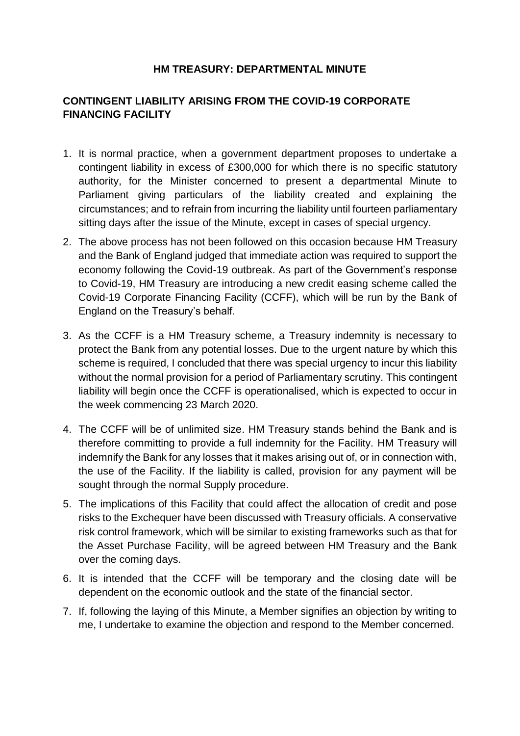## **HM TREASURY: DEPARTMENTAL MINUTE**

## **CONTINGENT LIABILITY ARISING FROM THE COVID-19 CORPORATE FINANCING FACILITY**

- 1. It is normal practice, when a government department proposes to undertake a contingent liability in excess of £300,000 for which there is no specific statutory authority, for the Minister concerned to present a departmental Minute to Parliament giving particulars of the liability created and explaining the circumstances; and to refrain from incurring the liability until fourteen parliamentary sitting days after the issue of the Minute, except in cases of special urgency.
- 2. The above process has not been followed on this occasion because HM Treasury and the Bank of England judged that immediate action was required to support the economy following the Covid-19 outbreak. As part of the Government's response to Covid-19, HM Treasury are introducing a new credit easing scheme called the Covid-19 Corporate Financing Facility (CCFF), which will be run by the Bank of England on the Treasury's behalf.
- 3. As the CCFF is a HM Treasury scheme, a Treasury indemnity is necessary to protect the Bank from any potential losses. Due to the urgent nature by which this scheme is required, I concluded that there was special urgency to incur this liability without the normal provision for a period of Parliamentary scrutiny. This contingent liability will begin once the CCFF is operationalised, which is expected to occur in the week commencing 23 March 2020.
- 4. The CCFF will be of unlimited size. HM Treasury stands behind the Bank and is therefore committing to provide a full indemnity for the Facility. HM Treasury will indemnify the Bank for any losses that it makes arising out of, or in connection with, the use of the Facility. If the liability is called, provision for any payment will be sought through the normal Supply procedure.
- 5. The implications of this Facility that could affect the allocation of credit and pose risks to the Exchequer have been discussed with Treasury officials. A conservative risk control framework, which will be similar to existing frameworks such as that for the Asset Purchase Facility, will be agreed between HM Treasury and the Bank over the coming days.
- 6. It is intended that the CCFF will be temporary and the closing date will be dependent on the economic outlook and the state of the financial sector.
- 7. If, following the laying of this Minute, a Member signifies an objection by writing to me, I undertake to examine the objection and respond to the Member concerned.